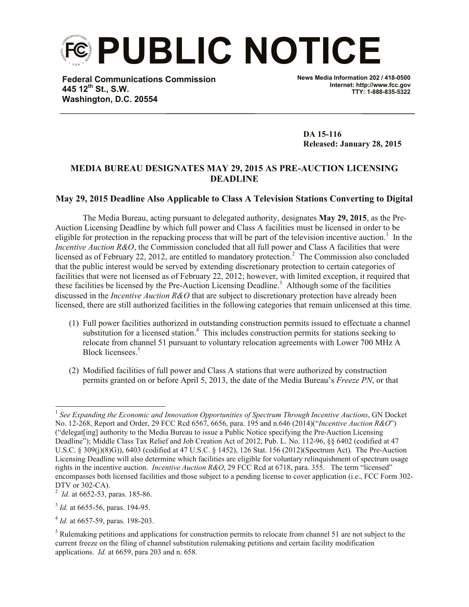**PUBLIC NOTICE**

**Federal Communications Commission 445 12th St., S.W. Washington, D.C. 20554**

**News Media Information 202 / 418-0500 Internet: http://www.fcc.gov TTY: 1-888-835-5322**

**DA 15-116 Released: January 28, 2015**

## **MEDIA BUREAU DESIGNATES MAY 29, 2015 AS PRE-AUCTION LICENSING DEADLINE**

## **May 29, 2015 Deadline Also Applicable to Class A Television Stations Converting to Digital**

The Media Bureau, acting pursuant to delegated authority, designates **May 29, 2015**, as the Pre-Auction Licensing Deadline by which full power and Class A facilities must be licensed in order to be eligible for protection in the repacking process that will be part of the television incentive auction.<sup>1</sup> In the *Incentive Auction R&O*, the Commission concluded that all full power and Class A facilities that were licensed as of February 22, 2012, are entitled to mandatory protection.<sup>2</sup> The Commission also concluded that the public interest would be served by extending discretionary protection to certain categories of facilities that were not licensed as of February 22, 2012; however, with limited exception, it required that these facilities be licensed by the Pre-Auction Licensing Deadline. 3 Although some of the facilities discussed in the *Incentive Auction R&O* that are subject to discretionary protection have already been licensed, there are still authorized facilities in the following categories that remain unlicensed at this time.

- (1) Full power facilities authorized in outstanding construction permits issued to effectuate a channel substitution for a licensed station.<sup>4</sup> This includes construction permits for stations seeking to relocate from channel 51 pursuant to voluntary relocation agreements with Lower 700 MHz A Block licensees. 5
- (2) Modified facilities of full power and Class A stations that were authorized by construction permits granted on or before April 5, 2013, the date of the Media Bureau's *Freeze PN*, or that

l <sup>1</sup> See Expanding the Economic and Innovation Opportunities of Spectrum Through Incentive Auctions, GN Docket No. 12-268, Report and Order, 29 FCC Rcd 6567, 6656, para. 195 and n.646 (2014)("*Incentive Auction R&O*") ("delegat[ing] authority to the Media Bureau to issue a Public Notice specifying the Pre-Auction Licensing Deadline"); Middle Class Tax Relief and Job Creation Act of 2012, Pub. L. No. 112-96, §§ 6402 (codified at 47 U.S.C. § 309(j)(8)G)), 6403 (codified at 47 U.S.C. § 1452), 126 Stat. 156 (2012)(Spectrum Act). The Pre-Auction Licensing Deadline will also determine which facilities are eligible for voluntary relinquishment of spectrum usage rights in the incentive auction. *Incentive Auction R&O*, 29 FCC Rcd at 6718, para. 355. The term "licensed" encompasses both licensed facilities and those subject to a pending license to cover application (i.e., FCC Form 302- DTV or 302-CA).

<sup>&</sup>lt;sup>2</sup> *Id.* at 6652-53, paras. 185-86.

<sup>&</sup>lt;sup>3</sup> *Id.* at 6655-56, paras. 194-95.

<sup>4</sup> *Id.* at 6657-59, paras. 198-203.

<sup>&</sup>lt;sup>5</sup> Rulemaking petitions and applications for construction permits to relocate from channel 51 are not subject to the current freeze on the filing of channel substitution rulemaking petitions and certain facility modification applications. *Id.* at 6659, para 203 and n. 658.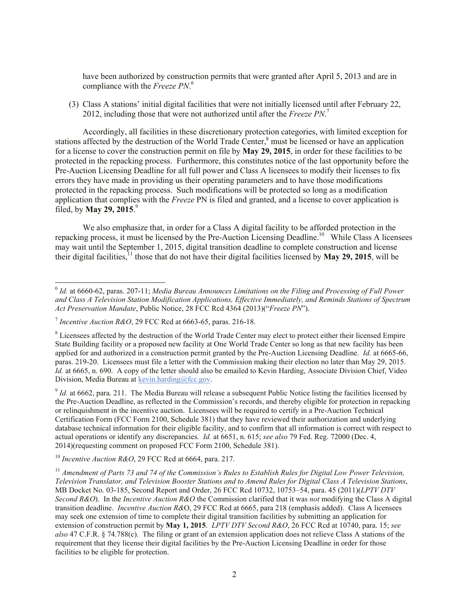have been authorized by construction permits that were granted after April 5, 2013 and are in compliance with the *Freeze PN*. 6

(3) Class A stations' initial digital facilities that were not initially licensed until after February 22, 2012, including those that were not authorized until after the *Freeze PN*. 7

Accordingly, all facilities in these discretionary protection categories, with limited exception for stations affected by the destruction of the World Trade Center,<sup>8</sup> must be licensed or have an application for a license to cover the construction permit on file by **May 29, 2015**, in order for these facilities to be protected in the repacking process. Furthermore, this constitutes notice of the last opportunity before the Pre-Auction Licensing Deadline for all full power and Class A licensees to modify their licenses to fix errors they have made in providing us their operating parameters and to have those modifications protected in the repacking process. Such modifications will be protected so long as a modification application that complies with the *Freeze* PN is filed and granted, and a license to cover application is filed, by **May 29, 2015**. 9

We also emphasize that, in order for a Class A digital facility to be afforded protection in the repacking process, it must be licensed by the Pre-Auction Licensing Deadline.<sup>10</sup> While Class A licensees may wait until the September 1, 2015, digital transition deadline to complete construction and license their digital facilities,  $\frac{11}{11}$  those that do not have their digital facilities licensed by **May 29, 2015**, will be

l

 $^{9}$  *Id.* at 6662, para. 211. The Media Bureau will release a subsequent Public Notice listing the facilities licensed by the Pre-Auction Deadline, as reflected in the Commission's records, and thereby eligible for protection in repacking or relinquishment in the incentive auction. Licensees will be required to certify in a Pre-Auction Technical Certification Form (FCC Form 2100, Schedule 381) that they have reviewed their authorization and underlying database technical information for their eligible facility, and to confirm that all information is correct with respect to actual operations or identify any discrepancies. *Id.* at 6651, n. 615; *see also* 79 Fed. Reg. 72000 (Dec. 4, 2014)(requesting comment on proposed FCC Form 2100, Schedule 381).

<sup>10</sup> *Incentive Auction R&O*, 29 FCC Rcd at 6664, para. 217.

<sup>6</sup> *Id.* at 6660-62, paras. 207-11; *Media Bureau Announces Limitations on the Filing and Processing of Full Power and Class A Television Station Modification Applications, Effective Immediately, and Reminds Stations of Spectrum Act Preservation Mandate*, Public Notice, 28 FCC Rcd 4364 (2013)("*Freeze PN*").

<sup>7</sup> *Incentive Auction R&O*, 29 FCC Rcd at 6663-65, paras. 216-18.

<sup>&</sup>lt;sup>8</sup> Licensees affected by the destruction of the World Trade Center may elect to protect either their licensed Empire State Building facility or a proposed new facility at One World Trade Center so long as that new facility has been applied for and authorized in a construction permit granted by the Pre-Auction Licensing Deadline. *Id.* at 6665-66, paras. 219-20. Licensees must file a letter with the Commission making their election no later than May 29, 2015. *Id.* at 6665, n. 690. A copy of the letter should also be emailed to Kevin Harding, Associate Division Chief, Video Division, Media Bureau at kevin.harding@fcc.gov.

<sup>&</sup>lt;sup>11</sup> Amendment of Parts 73 and 74 of the Commission's Rules to Establish Rules for Digital Low Power Television, *Television Translator, and Television Booster Stations and to Amend Rules for Digital Class A Television Stations*, MB Docket No. 03-185, Second Report and Order, 26 FCC Rcd 10732, 10753–54, para. 45 (2011)(*LPTV DTV Second R&O*). In the *Incentive Auction R&O* the Commission clarified that it was *not* modifying the Class A digital transition deadline. *Incentive Auction R&*O, 29 FCC Rcd at 6665, para 218 (emphasis added). Class A licensees may seek one extension of time to complete their digital transition facilities by submitting an application for extension of construction permit by **May 1, 2015**. *LPTV DTV Second R&O*, 26 FCC Rcd at 10740, para. 15; *see also* 47 C.F.R. § 74.788(c). The filing or grant of an extension application does not relieve Class A stations of the requirement that they license their digital facilities by the Pre-Auction Licensing Deadline in order for those facilities to be eligible for protection.